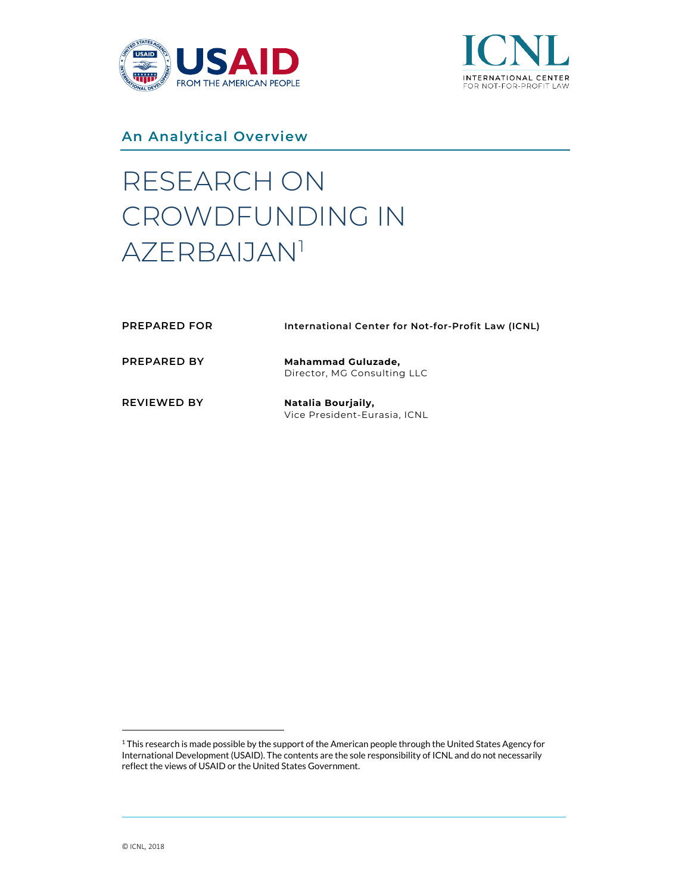



**An Analytical Overview**

# RESEARCH ON CROWDFUNDING IN AZERBAIJAN[1](#page-0-0)

| <b>PREPARED FOR</b> | International Center for Not-for-Profit Law (ICNL)       |
|---------------------|----------------------------------------------------------|
| <b>PREPARED BY</b>  | <b>Mahammad Guluzade,</b><br>Director, MG Consulting LLC |
| <b>REVIEWED BY</b>  | Natalia Bourjaily,<br>Vice President-Eurasia, ICNL       |

<span id="page-0-0"></span><sup>&</sup>lt;sup>1</sup> This research is made possible by the support of the American people through the United States Agency for International Development (USAID). The contents are the sole responsibility of ICNL and do not necessarily reflect the views of USAID or the United States Government.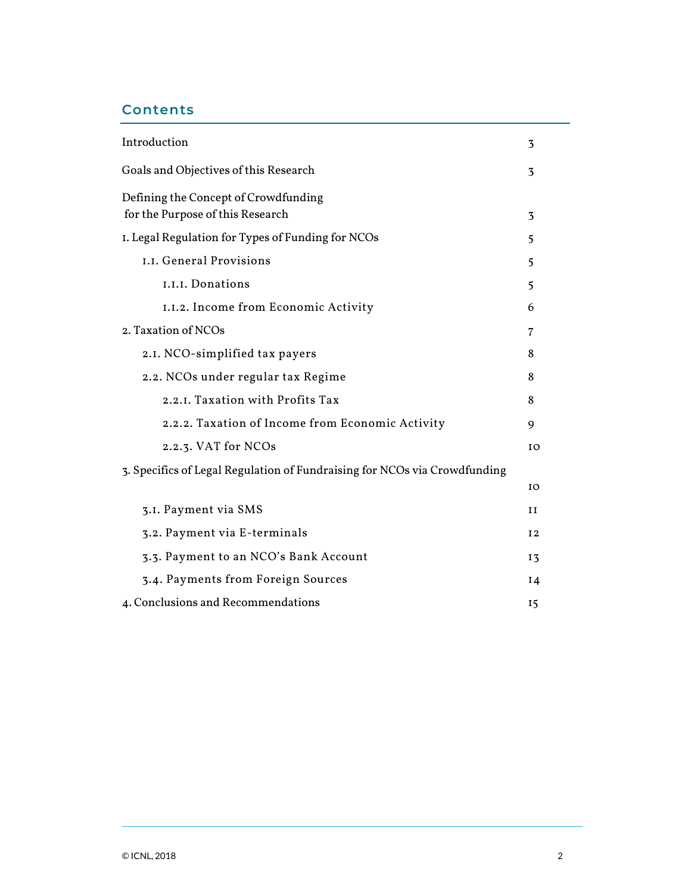# **Contents**

| Introduction<br>Goals and Objectives of this Research<br>Defining the Concept of Crowdfunding<br>for the Purpose of this Research<br>I. Legal Regulation for Types of Funding for NCOs |                |                                      |                          |
|----------------------------------------------------------------------------------------------------------------------------------------------------------------------------------------|----------------|--------------------------------------|--------------------------|
|                                                                                                                                                                                        |                | I.I. General Provisions              | $\overline{\phantom{0}}$ |
|                                                                                                                                                                                        |                | I.I.I. Donations                     | 5                        |
|                                                                                                                                                                                        |                | I.I.2. Income from Economic Activity | 6                        |
| 2. Taxation of NCOs                                                                                                                                                                    |                |                                      |                          |
| 2.1. NCO-simplified tax payers                                                                                                                                                         | 8              |                                      |                          |
| 2.2. NCOs under regular tax Regime                                                                                                                                                     |                |                                      |                          |
| 2.2.1. Taxation with Profits Tax                                                                                                                                                       |                |                                      |                          |
| 2.2.2. Taxation of Income from Economic Activity                                                                                                                                       |                |                                      |                          |
| 2.2.3. VAT for NCOs                                                                                                                                                                    | I <sup>O</sup> |                                      |                          |
| 3. Specifics of Legal Regulation of Fundraising for NCOs via Crowdfunding                                                                                                              |                |                                      |                          |
|                                                                                                                                                                                        | IO             |                                      |                          |
| 3.I. Payment via SMS                                                                                                                                                                   | H              |                                      |                          |
| 3.2. Payment via E-terminals                                                                                                                                                           | I <sub>2</sub> |                                      |                          |
| 3.3. Payment to an NCO's Bank Account                                                                                                                                                  | <b>13</b>      |                                      |                          |
| 3.4. Payments from Foreign Sources                                                                                                                                                     |                |                                      |                          |
| 4. Conclusions and Recommendations                                                                                                                                                     | 15             |                                      |                          |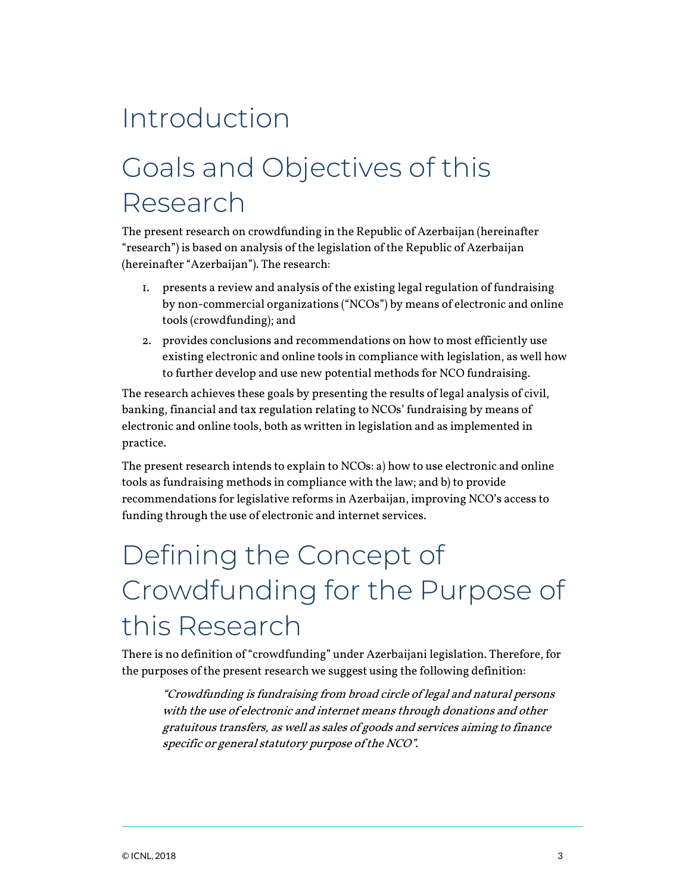# Introduction

# Goals and Objectives of this Research

The present research on crowdfunding in the Republic of Azerbaijan (hereinafter "research") is based on analysis of the legislation of the Republic of Azerbaijan (hereinafter "Azerbaijan"). The research:

- 1. presents a review and analysis of the existing legal regulation of fundraising by non-commercial organizations ("NCOs") by means of electronic and online tools (crowdfunding); and
- 2. provides conclusions and recommendations on how to most efficiently use existing electronic and online tools in compliance with legislation, as well how to further develop and use new potential methods for NCO fundraising.

The research achieves these goals by presenting the results of legal analysis of civil, banking, financial and tax regulation relating to NCOs' fundraising by means of electronic and online tools, both as written in legislation and as implemented in practice.

The present research intends to explain to NCOs: a) how to use electronic and online tools as fundraising methods in compliance with the law; and b) to provide recommendations for legislative reforms in Azerbaijan, improving NCO's access to funding through the use of electronic and internet services.

# Defining the Concept of Crowdfunding for the Purpose of this Research

There is no definition of "crowdfunding" under Azerbaijani legislation. Therefore, for the purposes of the present research we suggest using the following definition:

"Crowdfunding is fundraising from broad circle of legal and natural persons with the use of electronic and internet means through donations and other gratuitous transfers, as well as sales of goods and services aiming to finance specific or general statutory purpose of the NCO".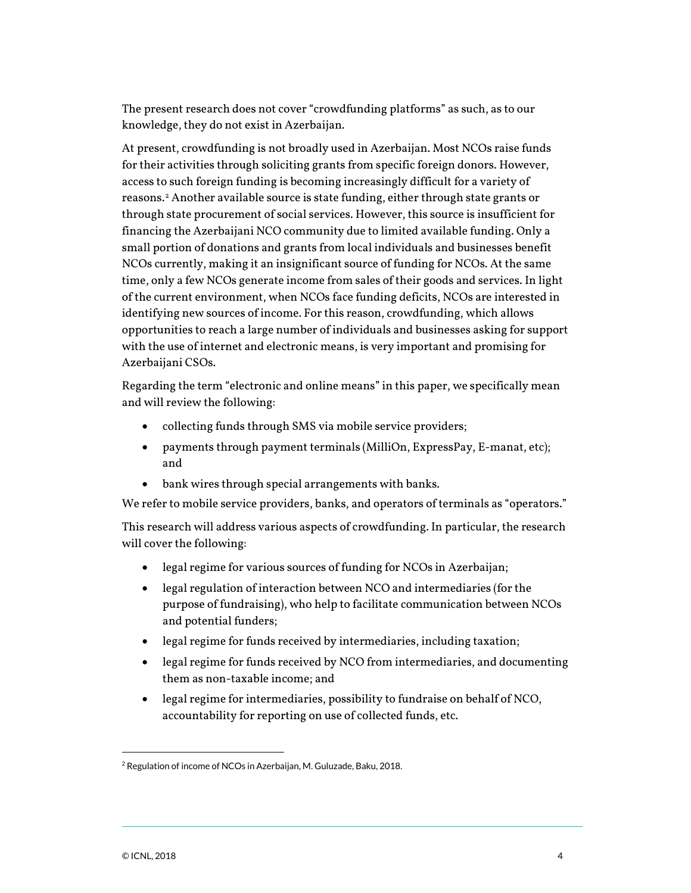The present research does not cover "crowdfunding platforms" as such, as to our knowledge, they do not exist in Azerbaijan.

At present, crowdfunding is not broadly used in Azerbaijan. Most NCOs raise funds for their activities through soliciting grants from specific foreign donors. However, access to such foreign funding is becoming increasingly difficult for a variety of reasons[.2](#page-3-0) Another available source is state funding, either through state grants or through state procurement of social services. However, this source is insufficient for financing the Azerbaijani NCO community due to limited available funding. Only a small portion of donations and grants from local individuals and businesses benefit NCOs currently, making it an insignificant source of funding for NCOs. At the same time, only a few NCOs generate income from sales of their goods and services. In light of the current environment, when NCOs face funding deficits, NCOs are interested in identifying new sources of income. For this reason, crowdfunding, which allows opportunities to reach a large number of individuals and businesses asking for support with the use of internet and electronic means, is very important and promising for Azerbaijani CSOs.

Regarding the term "electronic and online means" in this paper, we specifically mean and will review the following:

- collecting funds through SMS via mobile service providers;
- payments through payment terminals (MilliOn, ExpressPay, E-manat, etc); and
- bank wires through special arrangements with banks.

We refer to mobile service providers, banks, and operators of terminals as "operators."

This research will address various aspects of crowdfunding. In particular, the research will cover the following:

- legal regime for various sources of funding for NCOs in Azerbaijan;
- legal regulation of interaction between NCO and intermediaries (for the purpose of fundraising), who help to facilitate communication between NCOs and potential funders;
- legal regime for funds received by intermediaries, including taxation;
- legal regime for funds received by NCO from intermediaries, and documenting them as non-taxable income; and
- legal regime for intermediaries, possibility to fundraise on behalf of NCO, accountability for reporting on use of collected funds, etc.

<span id="page-3-0"></span><sup>2</sup> Regulation of income of NCOs in Azerbaijan, M. Guluzade, Baku, 2018.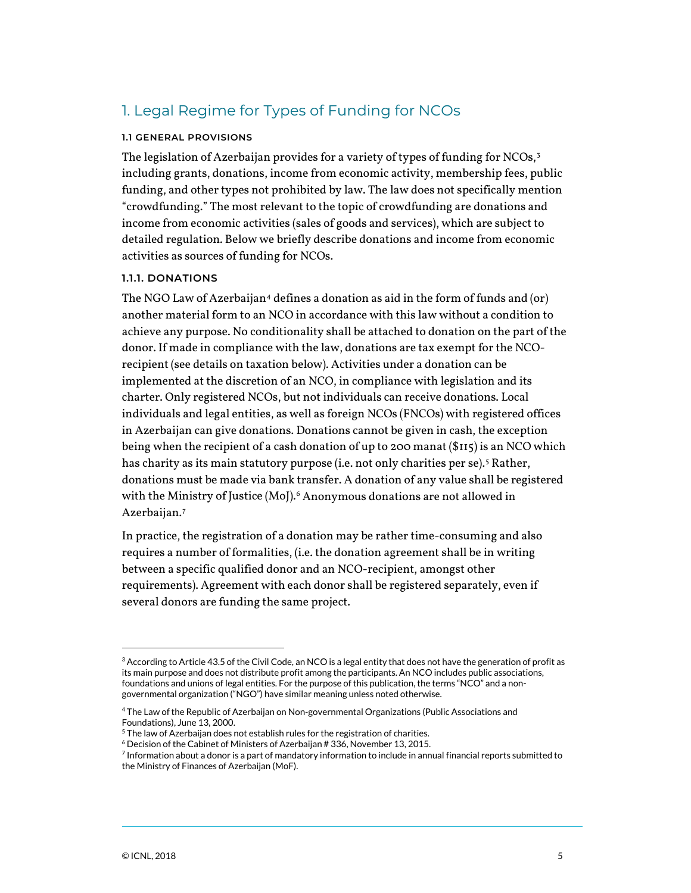# 1. Legal Regime for Types of Funding for NCOs

#### **1.1 GENERAL PROVISIONS**

The legislation of Azerbaijan provides for a variety of types of funding for NCOs,<sup>[3](#page-4-0)</sup> including grants, donations, income from economic activity, membership fees, public funding, and other types not prohibited by law. The law does not specifically mention "crowdfunding." The most relevant to the topic of crowdfunding are donations and income from economic activities (sales of goods and services), which are subject to detailed regulation. Below we briefly describe donations and income from economic activities as sources of funding for NCOs.

### **1.1.1. DONATIONS**

The NGO Law of Azerbaijan<sup>[4](#page-4-1)</sup> defines a donation as aid in the form of funds and  $(or)$ another material form to an NCO in accordance with this law without a condition to achieve any purpose. No conditionality shall be attached to donation on the part of the donor. If made in compliance with the law, donations are tax exempt for the NCOrecipient (see details on taxation below). Activities under a donation can be implemented at the discretion of an NCO, in compliance with legislation and its charter. Only registered NCOs, but not individuals can receive donations. Local individuals and legal entities, as well as foreign NCOs (FNCOs) with registered offices in Azerbaijan can give donations. Donations cannot be given in cash, the exception being when the recipient of a cash donation of up to 200 manat (\$115) is an NCO which has charity as its main statutory purpose (i.e. not only charities per se). [5](#page-4-2) Rather, donations must be made via bank transfer. A donation of any value shall be registered with the Ministry of Justice (MoJ).<sup>[6](#page-4-3)</sup> Anonymous donations are not allowed in Azerbaijan.[7](#page-4-4)

In practice, the registration of a donation may be rather time-consuming and also requires a number of formalities, (i.e. the donation agreement shall be in writing between a specific qualified donor and an NCO-recipient, amongst other requirements). Agreement with each donor shall be registered separately, even if several donors are funding the same project.

<span id="page-4-0"></span> $3$  According to Article 43.5 of the Civil Code, an NCO is a legal entity that does not have the generation of profit as its main purpose and does not distribute profit among the participants. An NCO includes public associations, foundations and unions of legal entities. For the purpose of this publication, the terms "NCO" and a nongovernmental organization ("NGO") have similar meaning unless noted otherwise.

<span id="page-4-1"></span><sup>4</sup> The Law of the Republic of Azerbaijan on Non-governmental Organizations (Public Associations and Foundations), June 13, 2000.

<span id="page-4-2"></span> $5$  The law of Azerbaijan does not establish rules for the registration of charities.

 $6$  Decision of the Cabinet of Ministers of Azerbaijan # 336, November 13, 2015.

<span id="page-4-4"></span><span id="page-4-3"></span> $7$  Information about a donor is a part of mandatory information to include in annual financial reports submitted to the Ministry of Finances of Azerbaijan (MoF).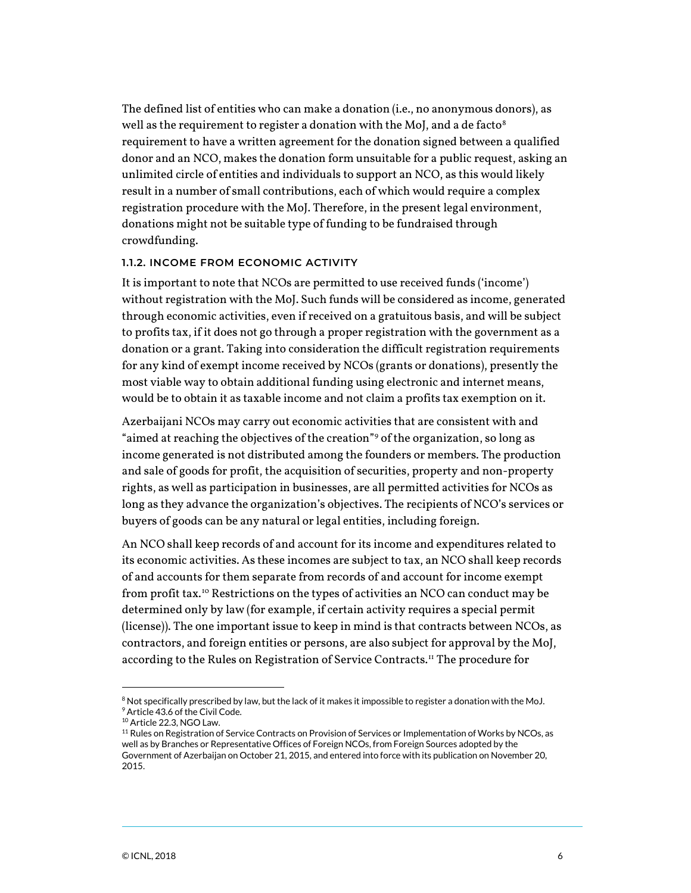The defined list of entities who can make a donation (i.e., no anonymous donors), as well as the requirement to register a donation with the MoJ, and a de facto $^8$  $^8$ requirement to have a written agreement for the donation signed between a qualified donor and an NCO, makes the donation form unsuitable for a public request, asking an unlimited circle of entities and individuals to support an NCO, as this would likely result in a number of small contributions, each of which would require a complex registration procedure with the MoJ. Therefore, in the present legal environment, donations might not be suitable type of funding to be fundraised through crowdfunding.

#### **1.1.2. INCOME FROM ECONOMIC ACTIVITY**

It is important to note that NCOs are permitted to use received funds ('income') without registration with the MoJ. Such funds will be considered as income, generated through economic activities, even if received on a gratuitous basis, and will be subject to profits tax, if it does not go through a proper registration with the government as a donation or a grant. Taking into consideration the difficult registration requirements for any kind of exempt income received by NCOs (grants or donations), presently the most viable way to obtain additional funding using electronic and internet means, would be to obtain it as taxable income and not claim a profits tax exemption on it.

Azerbaijani NCOs may carry out economic activities that are consistent with and "aimed at reaching the objectives of the creation"[9](#page-5-1) of the organization, so long as income generated is not distributed among the founders or members. The production and sale of goods for profit, the acquisition of securities, property and non-property rights, as well as participation in businesses, are all permitted activities for NCOs as long as they advance the organization's objectives. The recipients of NCO's services or buyers of goods can be any natural or legal entities, including foreign.

An NCO shall keep records of and account for its income and expenditures related to its economic activities. As these incomes are subject to tax, an NCO shall keep records of and accounts for them separate from records of and account for income exempt from profit tax.[10](#page-5-2) Restrictions on the types of activities an NCO can conduct may be determined only by law (for example, if certain activity requires a special permit (license)). The one important issue to keep in mind is that contracts between NCOs, as contractors, and foreign entities or persons, are also subject for approval by the MoJ, according to the Rules on Registration of Service Contracts.<sup>11</sup> The procedure for

<span id="page-5-1"></span><span id="page-5-0"></span> $8$  Not specifically prescribed by law, but the lack of it makes it impossible to register a donation with the MoJ. <sup>9</sup> Article 43.6 of the Civil Code.

<sup>10</sup> Article 22.3, NGO Law.

<span id="page-5-3"></span><span id="page-5-2"></span><sup>&</sup>lt;sup>11</sup> Rules on Registration of Service Contracts on Provision of Services or Implementation of Works by NCOs, as well as by Branches or Representative Offices of Foreign NCOs, from Foreign Sources adopted by the Government of Azerbaijan on October 21, 2015, and entered into force with its publication on November 20, 2015.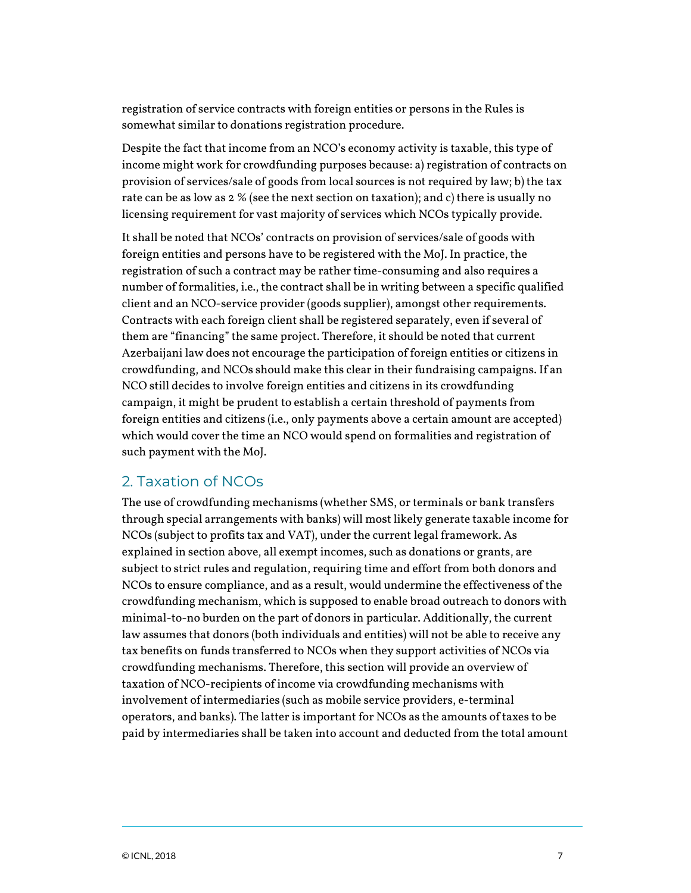registration of service contracts with foreign entities or persons in the Rules is somewhat similar to donations registration procedure.

Despite the fact that income from an NCO's economy activity is taxable, this type of income might work for crowdfunding purposes because: a) registration of contracts on provision of services/sale of goods from local sources is not required by law; b) the tax rate can be as low as 2 % (see the next section on taxation); and c) there is usually no licensing requirement for vast majority of services which NCOs typically provide.

It shall be noted that NCOs' contracts on provision of services/sale of goods with foreign entities and persons have to be registered with the MoJ. In practice, the registration of such a contract may be rather time-consuming and also requires a number of formalities, i.e., the contract shall be in writing between a specific qualified client and an NCO-service provider (goods supplier), amongst other requirements. Contracts with each foreign client shall be registered separately, even if several of them are "financing" the same project. Therefore, it should be noted that current Azerbaijani law does not encourage the participation of foreign entities or citizens in crowdfunding, and NCOs should make this clear in their fundraising campaigns. If an NCO still decides to involve foreign entities and citizens in its crowdfunding campaign, it might be prudent to establish a certain threshold of payments from foreign entities and citizens (i.e., only payments above a certain amount are accepted) which would cover the time an NCO would spend on formalities and registration of such payment with the MoJ.

## 2. Taxation of NCOs

The use of crowdfunding mechanisms (whether SMS, or terminals or bank transfers through special arrangements with banks) will most likely generate taxable income for NCOs (subject to profits tax and VAT), under the current legal framework. As explained in section above, all exempt incomes, such as donations or grants, are subject to strict rules and regulation, requiring time and effort from both donors and NCOs to ensure compliance, and as a result, would undermine the effectiveness of the crowdfunding mechanism, which is supposed to enable broad outreach to donors with minimal-to-no burden on the part of donors in particular. Additionally, the current law assumes that donors (both individuals and entities) will not be able to receive any tax benefits on funds transferred to NCOs when they support activities of NCOs via crowdfunding mechanisms. Therefore, this section will provide an overview of taxation of NCO-recipients of income via crowdfunding mechanisms with involvement of intermediaries (such as mobile service providers, e-terminal operators, and banks). The latter is important for NCOs as the amounts of taxes to be paid by intermediaries shall be taken into account and deducted from the total amount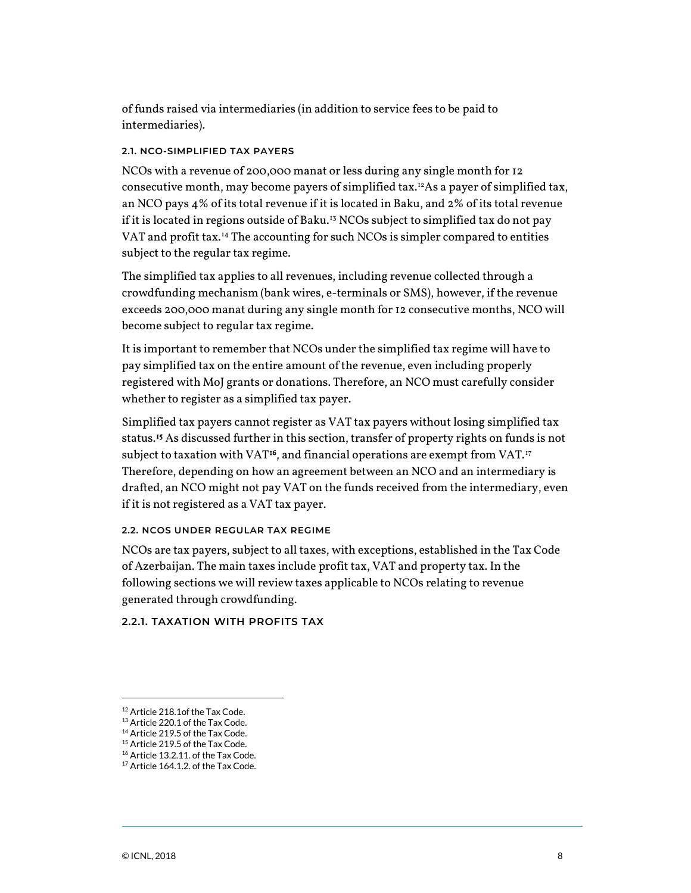of funds raised via intermediaries (in addition to service fees to be paid to intermediaries).

## **2.1. NCO-SIMPLIFIED TAX PAYERS**

NCOs with a revenue of 200,000 manat or less during any single month for 12 consecutive month, may become payers of simplified tax.<sup>[12](#page-7-0)</sup>As a payer of simplified tax, an NCO pays 4% of its total revenue if it is located in Baku, and 2% of its total revenue if it is located in regions outside of Baku.<sup>[13](#page-7-1)</sup> NCOs subject to simplified tax do not pay VAT and profit tax.<sup>[14](#page-7-2)</sup> The accounting for such NCOs is simpler compared to entities subject to the regular tax regime.

The simplified tax applies to all revenues, including revenue collected through a crowdfunding mechanism (bank wires, e-terminals or SMS), however, if the revenue exceeds 200,000 manat during any single month for 12 consecutive months, NCO will become subject to regular tax regime.

It is important to remember that NCOs under the simplified tax regime will have to pay simplified tax on the entire amount of the revenue, even including properly registered with MoJ grants or donations. Therefore, an NCO must carefully consider whether to register as a simplified tax payer.

Simplified tax payers cannot register as VAT tax payers without losing simplified tax status.<sup>15</sup> As discussed further in this section, transfer of property rights on funds is not subject to taxation with VAT<sup>16</sup>, and financial operations are exempt from VAT.<sup>[17](#page-7-5)</sup> Therefore, depending on how an agreement between an NCO and an intermediary is drafted, an NCO might not pay VAT on the funds received from the intermediary, even if it is not registered as a VAT tax payer.

### **2.2. NCOS UNDER REGULAR TAX REGIME**

NCOs are tax payers, subject to all taxes, with exceptions, established in the Tax Code of Azerbaijan. The main taxes include profit tax, VAT and property tax. In the following sections we will review taxes applicable to NCOs relating to revenue generated through crowdfunding.

## **2.2.1. TAXATION WITH PROFITS TAX**

<span id="page-7-1"></span><span id="page-7-0"></span><sup>12</sup> Article 218.1of the Tax Code.

 $^{13}$  Article 220.1 of the Tax Code.<br> $^{14}$  Article 219.5 of the Tax Code.

<span id="page-7-2"></span>

<span id="page-7-3"></span><sup>&</sup>lt;sup>15</sup> Article 219.5 of the Tax Code.<br><sup>16</sup> Article 13.2.11. of the Tax Code.

<span id="page-7-4"></span>

<span id="page-7-5"></span><sup>&</sup>lt;sup>17</sup> Article 164.1.2. of the Tax Code.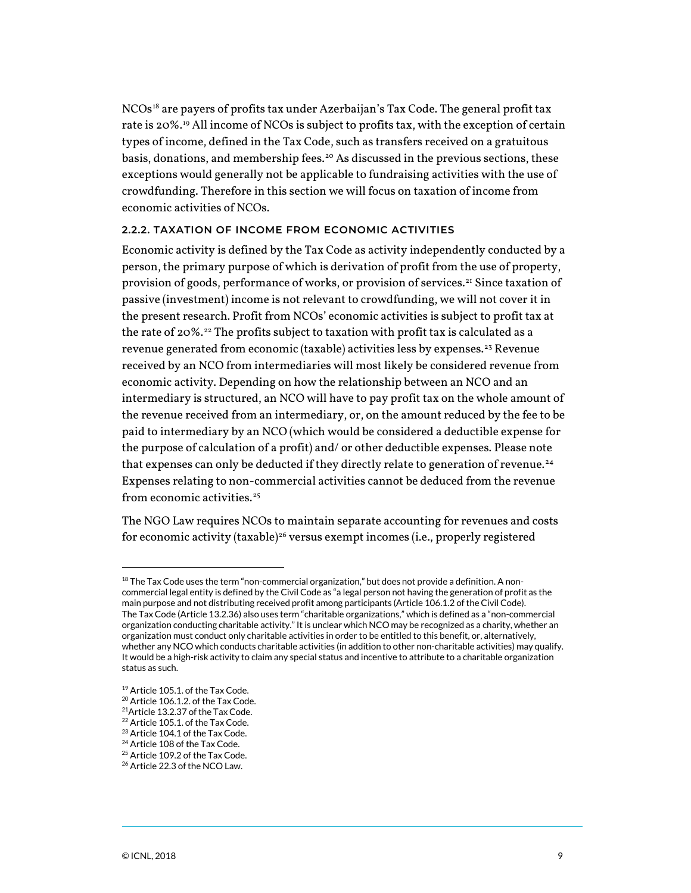$NCOs^{18}$  $NCOs^{18}$  $NCOs^{18}$  are payers of profits tax under Azerbaijan's Tax Code. The general profit tax rate is 20%.[19](#page-8-1) All income of NCOs is subject to profits tax, with the exception of certain types of income, defined in the Tax Code, such as transfers received on a gratuitous basis, donations, and membership fees.<sup>[20](#page-8-2)</sup> As discussed in the previous sections, these exceptions would generally not be applicable to fundraising activities with the use of crowdfunding. Therefore in this section we will focus on taxation of income from economic activities of NCOs.

## **2.2.2. TAXATION OF INCOME FROM ECONOMIC ACTIVITIES**

Economic activity is defined by the Tax Code as activity independently conducted by a person, the primary purpose of which is derivation of profit from the use of property, provision of goods, performance of works, or provision of services.[21](#page-8-3) Since taxation of passive (investment) income is not relevant to crowdfunding, we will not cover it in the present research. Profit from NCOs' economic activities is subject to profit tax at the rate of 20%.<sup>[22](#page-8-4)</sup> The profits subject to taxation with profit tax is calculated as a revenue generated from economic (taxable) activities less by expenses.<sup>[23](#page-8-5)</sup> Revenue received by an NCO from intermediaries will most likely be considered revenue from economic activity. Depending on how the relationship between an NCO and an intermediary is structured, an NCO will have to pay profit tax on the whole amount of the revenue received from an intermediary, or, on the amount reduced by the fee to be paid to intermediary by an NCO (which would be considered a deductible expense for the purpose of calculation of a profit) and/ or other deductible expenses. Please note that expenses can only be deducted if they directly relate to generation of revenue.<sup>[24](#page-8-6)</sup> Expenses relating to non-commercial activities cannot be deduced from the revenue from economic activities. $25$ 

The NGO Law requires NCOs to maintain separate accounting for revenues and costs for economic activity (taxable)<sup>[26](#page-8-8)</sup> versus exempt incomes (i.e., properly registered

<span id="page-8-0"></span> $^{18}$  The Tax Code uses the term "non-commercial organization," but does not provide a definition. A noncommercial legal entity is defined by the Civil Code as "a legal person not having the generation of profit as the main purpose and not distributing received profit among participants (Article 106.1.2 of the Civil Code). The Tax Code (Article 13.2.36) also uses term "charitable organizations," which is defined as a "non-commercial organization conducting charitable activity." It is unclear which NCO may be recognized as a charity, whether an organization must conduct only charitable activities in order to be entitled to this benefit, or, alternatively, whether any NCO which conducts charitable activities (in addition to other non-charitable activities) may qualify. It would be a high-risk activity to claim any special status and incentive to attribute to a charitable organization status as such.

<span id="page-8-1"></span><sup>&</sup>lt;sup>19</sup> Article 105.1. of the Tax Code.

<span id="page-8-2"></span><sup>20</sup> Article 106.1.2. of the Tax Code.

<span id="page-8-3"></span><sup>21</sup>Article 13.2.37 of the Tax Code.

<span id="page-8-4"></span> $^{22}$  Article 105.1. of the Tax Code.<br> $^{23}$  Article 104.1 of the Tax Code.

<span id="page-8-7"></span><span id="page-8-6"></span><span id="page-8-5"></span><sup>&</sup>lt;sup>24</sup> Article 108 of the Tax Code.<br><sup>25</sup> Article 109.2 of the Tax Code.<br><sup>26</sup> Article 22.3 of the NCO Law.

<span id="page-8-8"></span>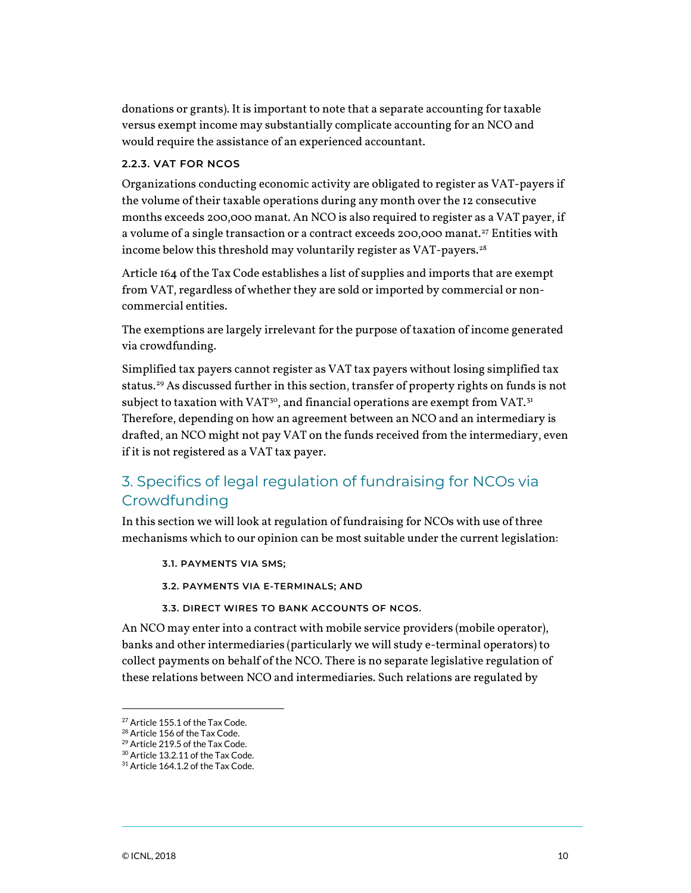donations or grants). It is important to note that a separate accounting for taxable versus exempt income may substantially complicate accounting for an NCO and would require the assistance of an experienced accountant.

### **2.2.3. VAT FOR NCOS**

Organizations conducting economic activity are obligated to register as VAT-payers if the volume of their taxable operations during any month over the 12 consecutive months exceeds 200,000 manat. An NCO is also required to register as a VAT payer, if a volume of a single transaction or a contract exceeds 200,000 manat.<sup>[27](#page-9-0)</sup> Entities with income below this threshold may voluntarily register as VAT-payers. $28$ 

Article 164 of the Tax Code establishes a list of supplies and imports that are exempt from VAT, regardless of whether they are sold or imported by commercial or noncommercial entities.

The exemptions are largely irrelevant for the purpose of taxation of income generated via crowdfunding.

Simplified tax payers cannot register as VAT tax payers without losing simplified tax status[.29](#page-9-2) As discussed further in this section, transfer of property rights on funds is not subject to taxation with  $VAT^{30}$  $VAT^{30}$  $VAT^{30}$ , and financial operations are exempt from  $VAT^{31}$  $VAT^{31}$  $VAT^{31}$ Therefore, depending on how an agreement between an NCO and an intermediary is drafted, an NCO might not pay VAT on the funds received from the intermediary, even if it is not registered as a VAT tax payer.

# 3. Specifics of legal regulation of fundraising for NCOs via Crowdfunding

In this section we will look at regulation of fundraising for NCOs with use of three mechanisms which to our opinion can be most suitable under the current legislation:

**3.1. PAYMENTS VIA SMS;**

**3.2. PAYMENTS VIA E-TERMINALS; AND**

**3.3. DIRECT WIRES TO BANK ACCOUNTS OF NCOS.**

An NCO may enter into a contract with mobile service providers (mobile operator), banks and other intermediaries (particularly we will study e-terminal operators) to collect payments on behalf of the NCO. There is no separate legislative regulation of these relations between NCO and intermediaries. Such relations are regulated by

<span id="page-9-1"></span><span id="page-9-0"></span><sup>&</sup>lt;sup>27</sup> Article 155.1 of the Tax Code.

 $^{28}$  Article 156 of the Tax Code.<br> $^{29}$  Article 219.5 of the Tax Code.

<span id="page-9-2"></span><sup>&</sup>lt;sup>30</sup> Article 13.2.11 of the Tax Code.

<span id="page-9-4"></span><span id="page-9-3"></span><sup>&</sup>lt;sup>31</sup> Article 164.1.2 of the Tax Code.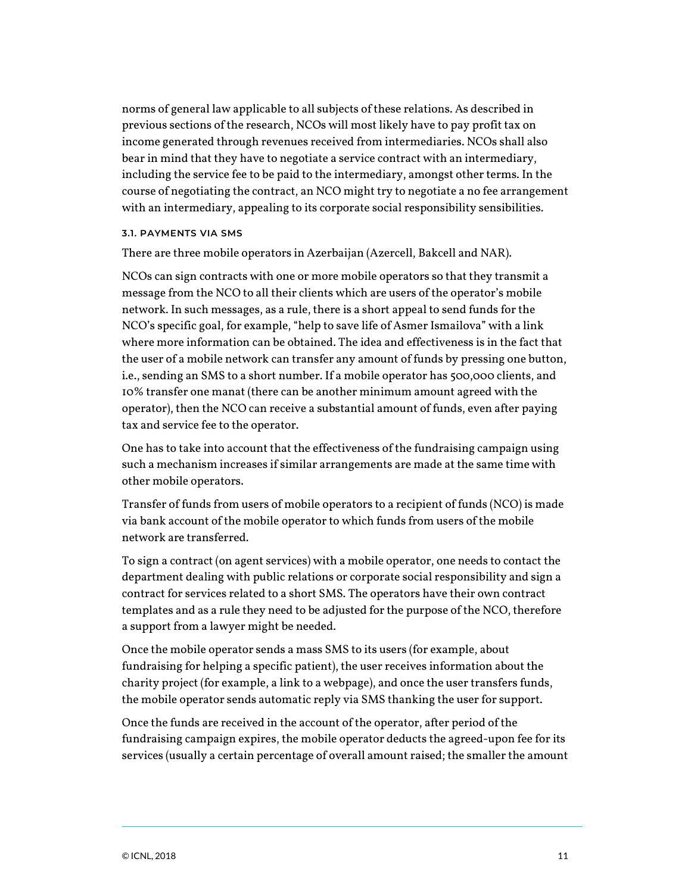norms of general law applicable to all subjects of these relations. As described in previous sections of the research, NCOs will most likely have to pay profit tax on income generated through revenues received from intermediaries. NCOs shall also bear in mind that they have to negotiate a service contract with an intermediary, including the service fee to be paid to the intermediary, amongst other terms. In the course of negotiating the contract, an NCO might try to negotiate a no fee arrangement with an intermediary, appealing to its corporate social responsibility sensibilities.

#### **3.1. PAYMENTS VIA SMS**

There are three mobile operators in Azerbaijan (Azercell, Bakcell and NAR).

NCOs can sign contracts with one or more mobile operators so that they transmit a message from the NCO to all their clients which are users of the operator's mobile network. In such messages, as a rule, there is a short appeal to send funds for the NCO's specific goal, for example, "help to save life of Asmer Ismailova" with a link where more information can be obtained. The idea and effectiveness is in the fact that the user of a mobile network can transfer any amount of funds by pressing one button, i.e., sending an SMS to a short number. If a mobile operator has 500,000 clients, and 10% transfer one manat (there can be another minimum amount agreed with the operator), then the NCO can receive a substantial amount of funds, even after paying tax and service fee to the operator.

One has to take into account that the effectiveness of the fundraising campaign using such a mechanism increases if similar arrangements are made at the same time with other mobile operators.

Transfer of funds from users of mobile operators to a recipient of funds (NCO) is made via bank account of the mobile operator to which funds from users of the mobile network are transferred.

To sign a contract (on agent services) with a mobile operator, one needs to contact the department dealing with public relations or corporate social responsibility and sign a contract for services related to a short SMS. The operators have their own contract templates and as a rule they need to be adjusted for the purpose of the NCO, therefore a support from a lawyer might be needed.

Once the mobile operator sends a mass SMS to its users (for example, about fundraising for helping a specific patient), the user receives information about the charity project (for example, a link to a webpage), and once the user transfers funds, the mobile operator sends automatic reply via SMS thanking the user for support.

Once the funds are received in the account of the operator, after period of the fundraising campaign expires, the mobile operator deducts the agreed-upon fee for its services (usually a certain percentage of overall amount raised; the smaller the amount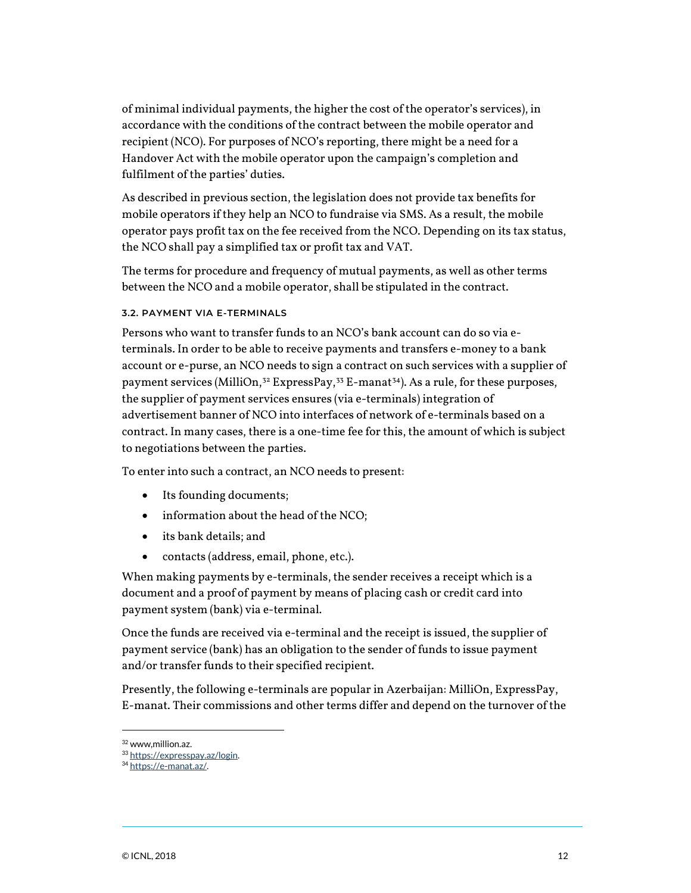of minimal individual payments, the higher the cost of the operator's services), in accordance with the conditions of the contract between the mobile operator and recipient (NCO). For purposes of NCO's reporting, there might be a need for a Handover Act with the mobile operator upon the campaign's completion and fulfilment of the parties' duties.

As described in previous section, the legislation does not provide tax benefits for mobile operators if they help an NCO to fundraise via SMS. As a result, the mobile operator pays profit tax on the fee received from the NCO. Depending on its tax status, the NCO shall pay a simplified tax or profit tax and VAT.

The terms for procedure and frequency of mutual payments, as well as other terms between the NCO and a mobile operator, shall be stipulated in the contract.

### **3.2. PAYMENT VIA E-TERMINALS**

Persons who want to transfer funds to an NCO's bank account can do so via eterminals. In order to be able to receive payments and transfers e-money to a bank account or e-purse, an NCO needs to sign a contract on such services with a supplier of payment services (MilliOn,<sup>[32](#page-11-0)</sup> ExpressPay,<sup>[33](#page-11-1)</sup> E-manat<sup>34</sup>). As a rule, for these purposes, the supplier of payment services ensures (via e-terminals) integration of advertisement banner of NCO into interfaces of network of e-terminals based on a contract. In many cases, there is a one-time fee for this, the amount of which is subject to negotiations between the parties.

To enter into such a contract, an NCO needs to present:

- Its founding documents;
- information about the head of the NCO;
- its bank details; and
- contacts (address, email, phone, etc.).

When making payments by e-terminals, the sender receives a receipt which is a document and a proof of payment by means of placing cash or credit card into payment system (bank) via e-terminal.

Once the funds are received via e-terminal and the receipt is issued, the supplier of payment service (bank) has an obligation to the sender of funds to issue payment and/or transfer funds to their specified recipient.

Presently, the following e-terminals are popular in Azerbaijan: MilliOn, ExpressPay, E-manat. Their commissions and other terms differ and depend on the turnover of the

<span id="page-11-0"></span><sup>32</sup> www,million.az.

<span id="page-11-1"></span><sup>33</sup> [https://expresspay.az/login.](https://expresspay.az/login)

<span id="page-11-2"></span><sup>&</sup>lt;sup>34</sup> [https://e-manat.az/.](https://e-manat.az/)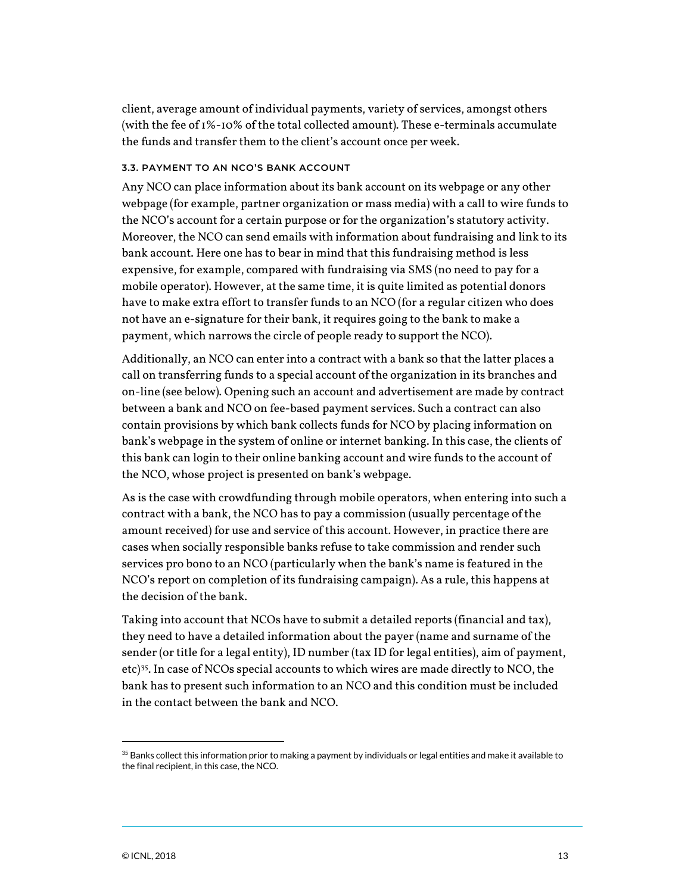client, average amount of individual payments, variety of services, amongst others (with the fee of 1%-10% of the total collected amount). These e-terminals accumulate the funds and transfer them to the client's account once per week.

#### **3.3. PAYMENT TO AN NCO'S BANK ACCOUNT**

Any NCO can place information about its bank account on its webpage or any other webpage (for example, partner organization or mass media) with a call to wire funds to the NCO's account for a certain purpose or for the organization's statutory activity. Moreover, the NCO can send emails with information about fundraising and link to its bank account. Here one has to bear in mind that this fundraising method is less expensive, for example, compared with fundraising via SMS (no need to pay for a mobile operator). However, at the same time, it is quite limited as potential donors have to make extra effort to transfer funds to an NCO (for a regular citizen who does not have an e-signature for their bank, it requires going to the bank to make a payment, which narrows the circle of people ready to support the NCO).

Additionally, an NCO can enter into a contract with a bank so that the latter places a call on transferring funds to a special account of the organization in its branches and on-line (see below). Opening such an account and advertisement are made by contract between a bank and NCO on fee-based payment services. Such a contract can also contain provisions by which bank collects funds for NCO by placing information on bank's webpage in the system of online or internet banking. In this case, the clients of this bank can login to their online banking account and wire funds to the account of the NCO, whose project is presented on bank's webpage.

As is the case with crowdfunding through mobile operators, when entering into such a contract with a bank, the NCO has to pay a commission (usually percentage of the amount received) for use and service of this account. However, in practice there are cases when socially responsible banks refuse to take commission and render such services pro bono to an NCO (particularly when the bank's name is featured in the NCO's report on completion of its fundraising campaign). As a rule, this happens at the decision of the bank.

Taking into account that NCOs have to submit a detailed reports (financial and tax), they need to have a detailed information about the payer (name and surname of the sender (or title for a legal entity), ID number (tax ID for legal entities), aim of payment, etc)[35](#page-12-0). In case of NCOs special accounts to which wires are made directly to NCO, the bank has to present such information to an NCO and this condition must be included in the contact between the bank and NCO.

<span id="page-12-0"></span> $^{35}$  Banks collect this information prior to making a payment by individuals or legal entities and make it available to the final recipient, in this case, the NCO.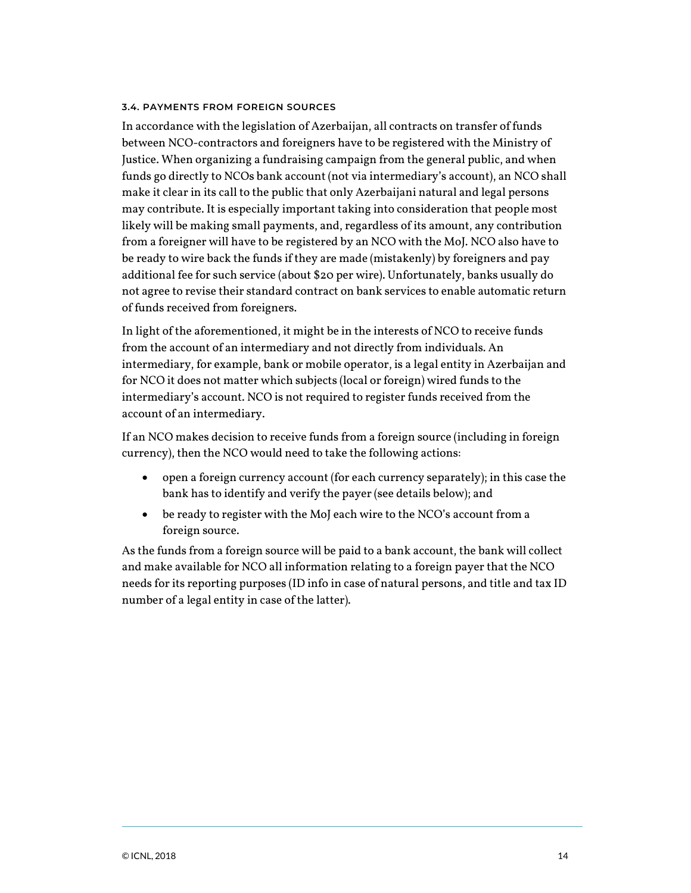### **3.4. PAYMENTS FROM FOREIGN SOURCES**

In accordance with the legislation of Azerbaijan, all contracts on transfer of funds between NCO-contractors and foreigners have to be registered with the Ministry of Justice. When organizing a fundraising campaign from the general public, and when funds go directly to NCOs bank account (not via intermediary's account), an NCO shall make it clear in its call to the public that only Azerbaijani natural and legal persons may contribute. It is especially important taking into consideration that people most likely will be making small payments, and, regardless of its amount, any contribution from a foreigner will have to be registered by an NCO with the MoJ. NCO also have to be ready to wire back the funds if they are made (mistakenly) by foreigners and pay additional fee for such service (about \$20 per wire). Unfortunately, banks usually do not agree to revise their standard contract on bank services to enable automatic return of funds received from foreigners.

In light of the aforementioned, it might be in the interests of NCO to receive funds from the account of an intermediary and not directly from individuals. An intermediary, for example, bank or mobile operator, is a legal entity in Azerbaijan and for NCO it does not matter which subjects (local or foreign) wired funds to the intermediary's account. NCO is not required to register funds received from the account of an intermediary.

If an NCO makes decision to receive funds from a foreign source (including in foreign currency), then the NCO would need to take the following actions:

- open a foreign currency account (for each currency separately); in this case the bank has to identify and verify the payer (see details below); and
- be ready to register with the MoJ each wire to the NCO's account from a foreign source.

As the funds from a foreign source will be paid to a bank account, the bank will collect and make available for NCO all information relating to a foreign payer that the NCO needs for its reporting purposes (ID info in case of natural persons, and title and tax ID number of a legal entity in case of the latter).